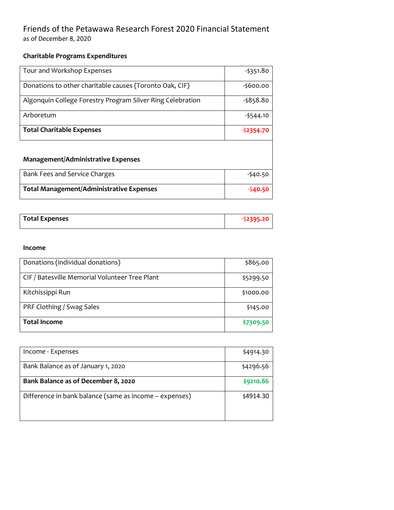## Friends of the Petawawa Research Forest 2020 Financial Statement as of December 8, 2020

### **Charitable Programs Expenditures**

| Tour and Workshop Expenses                                 | -\$351.80   |
|------------------------------------------------------------|-------------|
|                                                            |             |
| Donations to other charitable causes (Toronto Oak, CIF)    | $-5600.00$  |
| Algonquin College Forestry Program Silver Ring Celebration | -\$858.80   |
| Arboretum                                                  | $-5544.10$  |
| <b>Total Charitable Expenses</b>                           | $-52354.70$ |

#### **Management/Administrative Expenses**

| Bank Fees and Service Charges                   | $-540.50$ |
|-------------------------------------------------|-----------|
| <b>Total Management/Administrative Expenses</b> | $-540.50$ |

| <b>Total Expenses</b> |  |
|-----------------------|--|
|                       |  |

#### **Income**

| Donations (individual donations)               | \$865.00  |  |  |
|------------------------------------------------|-----------|--|--|
|                                                |           |  |  |
|                                                |           |  |  |
| CIF / Batesville Memorial Volunteer Tree Plant | \$5299.50 |  |  |
|                                                |           |  |  |
|                                                |           |  |  |
| Kitchissippi Run                               | \$1000.00 |  |  |
|                                                |           |  |  |
|                                                |           |  |  |
| PRF Clothing / Swag Sales                      | \$145.00  |  |  |
|                                                |           |  |  |
|                                                |           |  |  |
| <b>Total Income</b>                            | \$7309.50 |  |  |
|                                                |           |  |  |
|                                                |           |  |  |

| Income - Expenses                                      | \$4914.30 |
|--------------------------------------------------------|-----------|
| Bank Balance as of January 1, 2020                     | \$4296.56 |
| Bank Balance as of December 8, 2020                    | \$9210.86 |
| Difference in bank balance (same as income - expenses) | \$4914.30 |